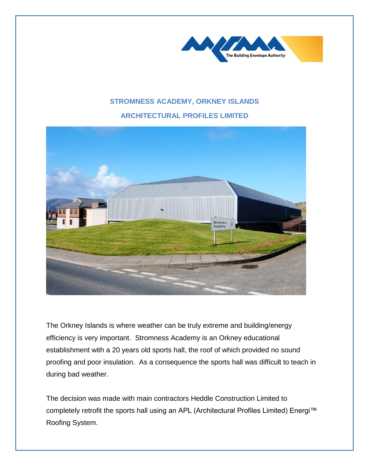

## **STROMNESS ACADEMY, ORKNEY ISLANDS**

## **ARCHITECTURAL PROFILES LIMITED**



The Orkney Islands is where weather can be truly extreme and building/energy efficiency is very important. Stromness Academy is an Orkney educational establishment with a 20 years old sports hall, the roof of which provided no sound proofing and poor insulation. As a consequence the sports hall was difficult to teach in during bad weather.

The decision was made with main contractors Heddle Construction Limited to completely retrofit the sports hall using an APL (Architectural Profiles Limited) Energi™ Roofing System.